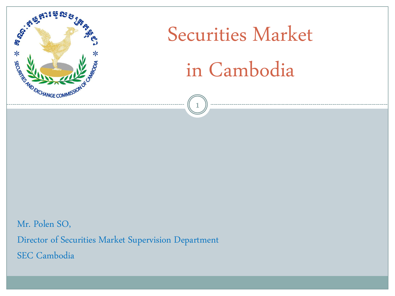

# Securities Market in Cambodia

1

Mr. Polen SO, Director of Securities Market Supervision Department SEC Cambodia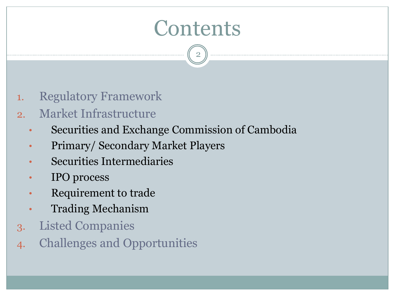# **Contents**

- 1. Regulatory Framework
- 2. Market Infrastructure
	- Securities and Exchange Commission of Cambodia
	- Primary/ Secondary Market Players
	- Securities Intermediaries
	- IPO process
	- Requirement to trade
	- Trading Mechanism
- 3. Listed Companies
- 4. Challenges and Opportunities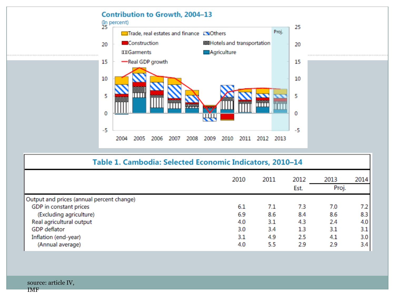

| Table 1. Cambodia: Selected Economic Indicators, 2010-14 |      |      |              |               |                  |  |
|----------------------------------------------------------|------|------|--------------|---------------|------------------|--|
|                                                          | 2010 | 2011 | 2012<br>Est. | 2013<br>Proj. | 2014             |  |
| Output and prices (annual percent change)                |      |      |              |               |                  |  |
| GDP in constant prices                                   | 6.1  | 7.1  | 7.3          | 7.0           | 7.2              |  |
| (Excluding agriculture)                                  | 6.9  | 8.6  | 8.4          | 8.6           | 8.3              |  |
| Real agricultural output                                 | 4.0  | 3.1  | 4.3          | 2.4           | 4.0              |  |
| <b>GDP</b> deflator                                      | 3.0  | 3.4  | 1.3          | 3.1           | 3.1              |  |
| Inflation (end-year)                                     | 3.1  | 4.9  | 2.5          | 4.1           | 3.0 <sub>1</sub> |  |
| (Annual average)                                         | 4.0  | 5.5  | 2.9          | 2.9           | 3.4              |  |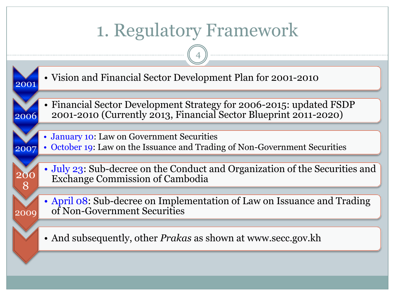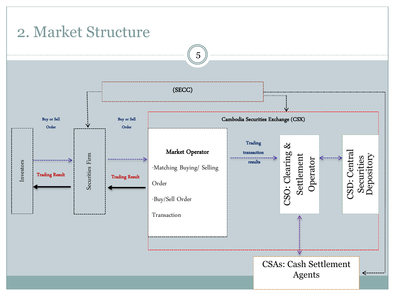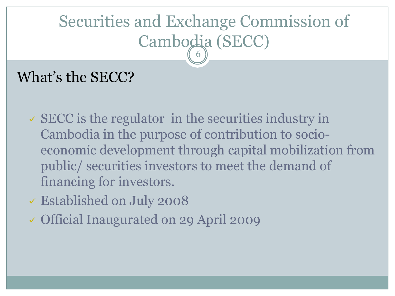#### Securities and Exchange Commission of Cambodia (SECC) 6

## What's the SECC?

- $\checkmark$  SECC is the regulator in the securities industry in Cambodia in the purpose of contribution to socioeconomic development through capital mobilization from public/ securities investors to meet the demand of financing for investors.
- Established on July 2008
- Official Inaugurated on 29 April 2009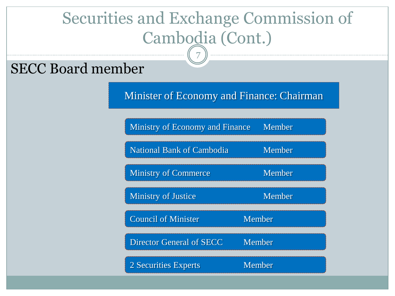# Securities and Exchange Commission of Cambodia (Cont.)

7

#### SECC Board member

Minister of Economy and Finance: Chairman

| <b>Ministry of Economy and Finance</b> | Member        |
|----------------------------------------|---------------|
| <b>National Bank of Cambodia</b>       | Member        |
| <b>Ministry of Commerce</b>            | Member        |
| <b>Ministry of Justice</b>             | Member        |
| <b>Council of Minister</b>             | Member        |
| <b>Director General of SECC</b>        | Member        |
| 2 Securities Experts                   | <b>Member</b> |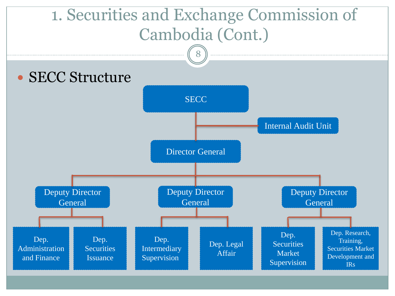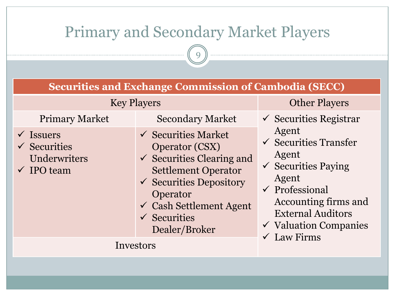### Primary and Secondary Market Players

| <b>Securities and Exchange Commission of Cambodia (SECC)</b>                                                      |                                                                                                                                                                                                                                                                                              |                                                                                                                                                                                                                                                                                   |  |  |  |  |
|-------------------------------------------------------------------------------------------------------------------|----------------------------------------------------------------------------------------------------------------------------------------------------------------------------------------------------------------------------------------------------------------------------------------------|-----------------------------------------------------------------------------------------------------------------------------------------------------------------------------------------------------------------------------------------------------------------------------------|--|--|--|--|
| <b>Key Players</b>                                                                                                | <b>Other Players</b>                                                                                                                                                                                                                                                                         |                                                                                                                                                                                                                                                                                   |  |  |  |  |
| <b>Primary Market</b><br>$\checkmark$ Issuers<br>$\checkmark$ Securities<br>Underwriters<br>$\checkmark$ IPO team | <b>Secondary Market</b><br>$\checkmark$ Securities Market<br><b>Operator (CSX)</b><br>$\checkmark$ Securities Clearing and<br><b>Settlement Operator</b><br>$\checkmark$ Securities Depository<br>Operator<br>$\checkmark$ Cash Settlement Agent<br>$\checkmark$ Securities<br>Dealer/Broker | $\checkmark$ Securities Registrar<br>Agent<br>$\checkmark$ Securities Transfer<br>Agent<br>$\checkmark$ Securities Paying<br>Agent<br>$\checkmark$ Professional<br>Accounting firms and<br><b>External Auditors</b><br>$\checkmark$ Valuation Companies<br>$\checkmark$ Law Firms |  |  |  |  |
| Investors                                                                                                         |                                                                                                                                                                                                                                                                                              |                                                                                                                                                                                                                                                                                   |  |  |  |  |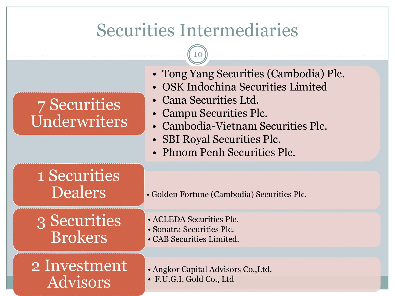# Securities Intermediaries

 $\begin{array}{c} \hline \end{array}$ 

\_\_\_\_\_\_\_\_\_\_\_\_\_\_\_\_\_\_\_\_\_\_\_\_\_\_\_\_\_\_\_\_

| 7 Securities<br>Underwriters   | • Tong Yang Securities (Cambodia) Plc.<br>• OSK Indochina Securities Limited<br>• Cana Securities Ltd.<br>• Campu Securities Plc.<br>• Cambodia-Vietnam Securities Plc.<br>• SBI Royal Securities Plc.<br>• Phnom Penh Securities Plc. |
|--------------------------------|----------------------------------------------------------------------------------------------------------------------------------------------------------------------------------------------------------------------------------------|
| 1 Securities<br><b>Dealers</b> | • Golden Fortune (Cambodia) Securities Plc.                                                                                                                                                                                            |
| 3 Securities<br><b>Brokers</b> | • ACLEDA Securities Plc.<br>• Sonatra Securities Plc.<br>• CAB Securities Limited.                                                                                                                                                     |
| 2 Investment<br>Advisors       | • Angkor Capital Advisors Co., Ltd.<br>· F.U.G.I. Gold Co., Ltd                                                                                                                                                                        |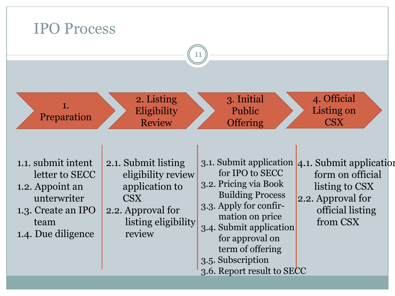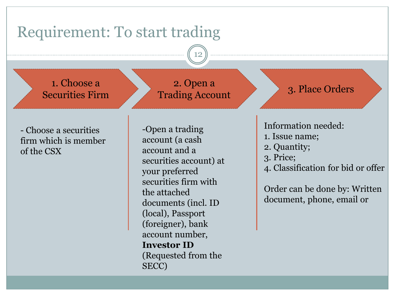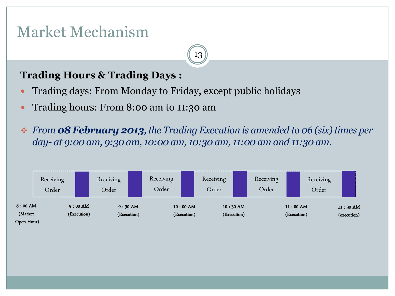### Market Mechanism

#### **Trading Hours & Trading Days :**

- Trading days: From Monday to Friday, except public holidays
- Trading hours: From 8:00 am to 11:30 am
- *From 08 February 2013, the Trading Execution is amended to 06 (six) times per day- at 9:00 am, 9:30 am, 10:00 am, 10:30 am, 11:00 am and 11:30 am.*

|                                    | Receiving<br>Order |                          | Receiving<br>Order       | Receiving<br>Order |                           | Receiving<br>Order |                           | Receiving<br>Order |                           | Receiving<br>Order |                           |
|------------------------------------|--------------------|--------------------------|--------------------------|--------------------|---------------------------|--------------------|---------------------------|--------------------|---------------------------|--------------------|---------------------------|
| $8:00$ AM<br>(Market<br>Open Hour) |                    | $9:00$ AM<br>(Execution) | $9:30$ AM<br>(Execution) |                    | $10:00$ AM<br>(Execution) |                    | $10:30$ AM<br>(Execution) |                    | $11:00$ AM<br>(Execution) |                    | $11:30$ AM<br>(execution) |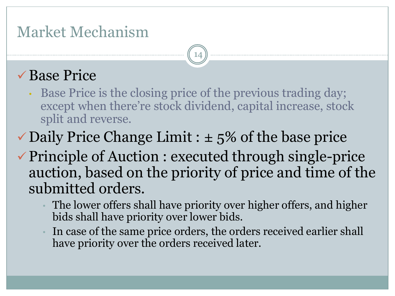### Market Mechanism

### Base Price

• Base Price is the closing price of the previous trading day; except when there're stock dividend, capital increase, stock split and reverse.

- $\checkmark$  Daily Price Change Limit :  $\pm$  5% of the base price
- Principle of Auction : executed through single-price auction, based on the priority of price and time of the submitted orders.
	- The lower offers shall have priority over higher offers, and higher bids shall have priority over lower bids.
	- In case of the same price orders, the orders received earlier shall have priority over the orders received later.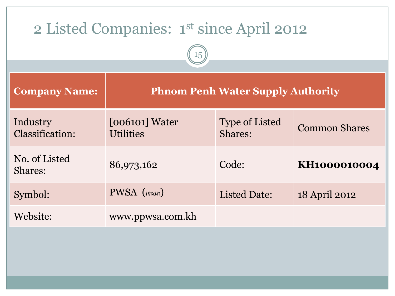| 2 Listed Companies: 1st since April 2012<br>15 |                                          |                                  |                      |  |  |  |  |
|------------------------------------------------|------------------------------------------|----------------------------------|----------------------|--|--|--|--|
| <b>Company Name:</b>                           | <b>Phnom Penh Water Supply Authority</b> |                                  |                      |  |  |  |  |
| Industry<br><b>Classification:</b>             | $[006101]$ Water<br><b>Utilities</b>     | <b>Type of Listed</b><br>Shares: | <b>Common Shares</b> |  |  |  |  |
| No. of Listed<br>Shares:                       | 86,973,162                               | Code:                            | KH1000010004         |  |  |  |  |
| Symbol:                                        | PWSA ( <sub>19សត</sub> )                 | <b>Listed Date:</b>              | 18 April 2012        |  |  |  |  |
| Website:                                       | www.ppwsa.com.kh                         |                                  |                      |  |  |  |  |
|                                                |                                          |                                  |                      |  |  |  |  |
|                                                |                                          |                                  |                      |  |  |  |  |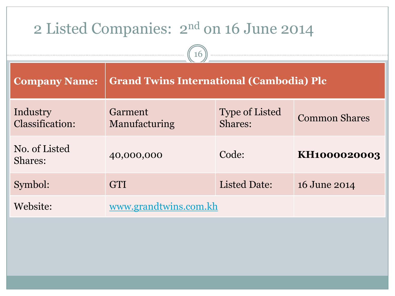| 2 Listed Companies: 2 <sup>nd</sup> on 16 June 2014 |                                                 |                                  |                      |  |  |
|-----------------------------------------------------|-------------------------------------------------|----------------------------------|----------------------|--|--|
| <b>Company Name:</b>                                | <b>Grand Twins International (Cambodia) Plc</b> |                                  |                      |  |  |
| Industry<br><b>Classification:</b>                  | Garment<br>Manufacturing                        | <b>Type of Listed</b><br>Shares: | <b>Common Shares</b> |  |  |
| No. of Listed<br>Shares:                            | 40,000,000                                      | Code:                            | KH1000020003         |  |  |
| Symbol:                                             | <b>GTI</b>                                      | <b>Listed Date:</b>              | 16 June 2014         |  |  |
| Website:                                            | www.grandtwins.com.kh                           |                                  |                      |  |  |
|                                                     |                                                 |                                  |                      |  |  |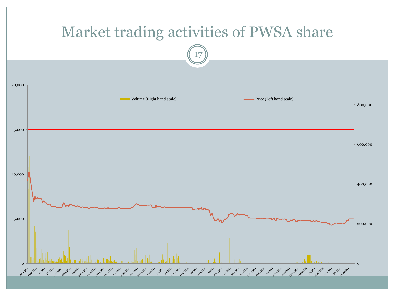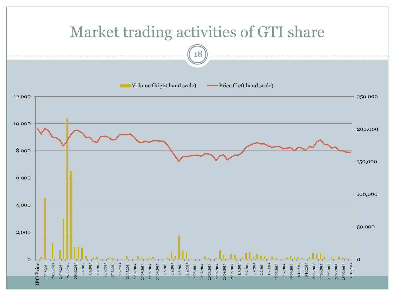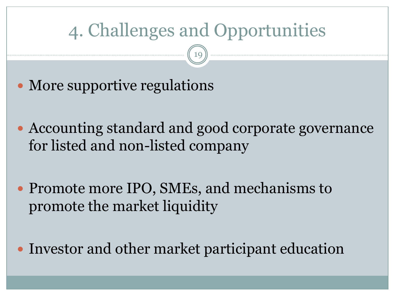# 4. Challenges and Opportunities

19

• More supportive regulations

 Accounting standard and good corporate governance for listed and non-listed company

• Promote more IPO, SMEs, and mechanisms to promote the market liquidity

• Investor and other market participant education